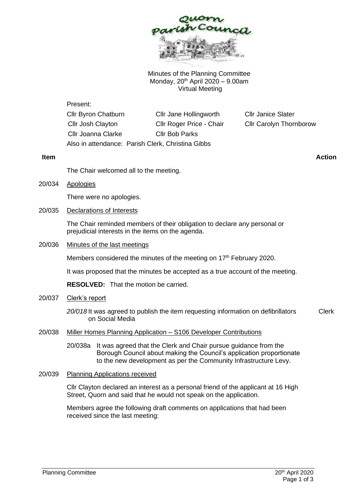

Minutes of the Planning Committee Monday,  $20^{th}$  April 2020 – 9.00am Virtual Meeting

| Present:                                          |                          |                                |
|---------------------------------------------------|--------------------------|--------------------------------|
| Cllr Byron Chatburn                               | Cllr Jane Hollingworth   | <b>Cllr Janice Slater</b>      |
| Cllr Josh Clayton                                 | Cllr Roger Price - Chair | <b>Cllr Carolyn Thornborow</b> |
| <b>Cllr Joanna Clarke</b>                         | <b>Cllr Bob Parks</b>    |                                |
| Also in attendance: Parish Clerk, Christina Gibbs |                          |                                |

The Chair welcomed all to the meeting.

20/034 Apologies

There were no apologies.

20/035 Declarations of Interests

The Chair reminded members of their obligation to declare any personal or prejudicial interests in the items on the agenda.

20/036 Minutes of the last meetings

Members considered the minutes of the meeting on 17<sup>th</sup> February 2020.

It was proposed that the minutes be accepted as a true account of the meeting.

**RESOLVED:** That the motion be carried.

20/037 Clerk's report

*20/018* It was agreed to publish the item requesting information on defibrillators on Social Media Clerk

- 20/038 Miller Homes Planning Application S106 Developer Contributions
	- 20/038a It was agreed that the Clerk and Chair pursue guidance from the Borough Council about making the Council's application proportionate to the new development as per the Community Infrastructure Levy.
- 20/039 Planning Applications received

Cllr Clayton declared an interest as a personal friend of the applicant at 16 High Street, Quorn and said that he would not speak on the application.

Members agree the following draft comments on applications that had been received since the last meeting:

**Item Action**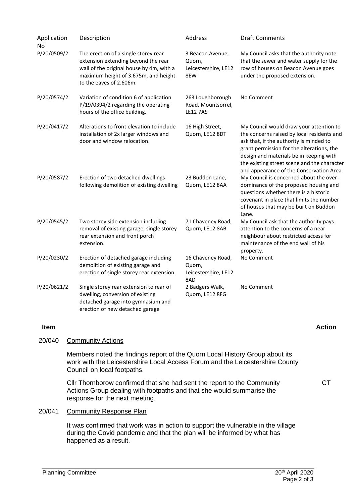| Application<br>No | Description                                                                                                                                                                                | Address                                                    | <b>Draft Comments</b>                                                                                                                                                                                                                                                                                               |
|-------------------|--------------------------------------------------------------------------------------------------------------------------------------------------------------------------------------------|------------------------------------------------------------|---------------------------------------------------------------------------------------------------------------------------------------------------------------------------------------------------------------------------------------------------------------------------------------------------------------------|
| P/20/0509/2       | The erection of a single storey rear<br>extension extending beyond the rear<br>wall of the original house by 4m, with a<br>maximum height of 3.675m, and height<br>to the eaves of 2.606m. | 3 Beacon Avenue,<br>Quorn,<br>Leicestershire, LE12<br>8EW  | My Council asks that the authority note<br>that the sewer and water supply for the<br>row of houses on Beacon Avenue goes<br>under the proposed extension.                                                                                                                                                          |
| P/20/0574/2       | Variation of condition 6 of application<br>P/19/0394/2 regarding the operating<br>hours of the office building.                                                                            | 263 Loughborough<br>Road, Mountsorrel,<br><b>LE12 7AS</b>  | No Comment                                                                                                                                                                                                                                                                                                          |
| P/20/0417/2       | Alterations to front elevation to include<br>installation of 2x larger windows and<br>door and window relocation.                                                                          | 16 High Street,<br>Quorn, LE12 8DT                         | My Council would draw your attention to<br>the concerns raised by local residents and<br>ask that, if the authority is minded to<br>grant permission for the alterations, the<br>design and materials be in keeping with<br>the existing street scene and the character<br>and appearance of the Conservation Area. |
| P/20/0587/2       | Erection of two detached dwellings<br>following demolition of existing dwelling                                                                                                            | 23 Buddon Lane,<br>Quorn, LE12 8AA                         | My Council is concerned about the over-<br>dominance of the proposed housing and<br>questions whether there is a historic<br>covenant in place that limits the number<br>of houses that may be built on Buddon<br>Lane.                                                                                             |
| P/20/0545/2       | Two storey side extension including<br>removal of existing garage, single storey<br>rear extension and front porch<br>extension.                                                           | 71 Chaveney Road,<br>Quorn, LE12 8AB                       | My Council ask that the authority pays<br>attention to the concerns of a near<br>neighbour about restricted access for<br>maintenance of the end wall of his<br>property.                                                                                                                                           |
| P/20/0230/2       | Erection of detached garage including<br>demolition of existing garage and<br>erection of single storey rear extension.                                                                    | 16 Chaveney Road,<br>Quorn,<br>Leicestershire, LE12<br>8AD | No Comment                                                                                                                                                                                                                                                                                                          |
| P/20/0621/2       | Single storey rear extension to rear of<br>dwelling, conversion of existing<br>detached garage into gymnasium and<br>erection of new detached garage                                       | 2 Badgers Walk,<br>Quorn, LE12 8FG                         | No Comment                                                                                                                                                                                                                                                                                                          |
| <b>Item</b>       |                                                                                                                                                                                            |                                                            | <b>Action</b>                                                                                                                                                                                                                                                                                                       |

20/040 Community Actions

Members noted the findings report of the Quorn Local History Group about its work with the Leicestershire Local Access Forum and the Leicestershire County Council on local footpaths.

Cllr Thornborow confirmed that she had sent the report to the Community Actions Group dealing with footpaths and that she would summarise the response for the next meeting.

## 20/041 Community Response Plan

It was confirmed that work was in action to support the vulnerable in the village during the Covid pandemic and that the plan will be informed by what has happened as a result.

**CT**